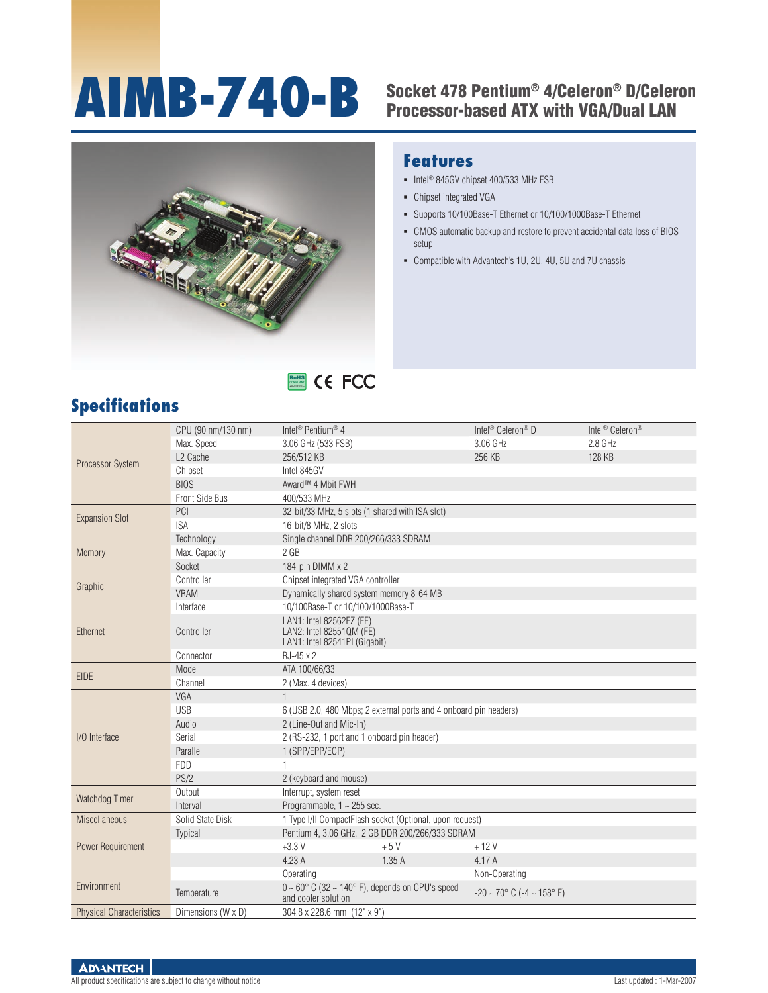# AIMB-740-B Socket 478 Pentium® 4/Celeron® D/Celeron

## Processor-based ATX with VGA/Dual LAN



RoHS **COMPLIANT** 2002/95/EC

#### **Features**

- Intel<sup>®</sup> 845GV chipset 400/533 MHz FSB
- Chipset integrated VGA
- Supports 10/100Base-T Ethernet or 10/100/1000Base-T Ethernet
- CMOS automatic backup and restore to prevent accidental data loss of BIOS setup
- Compatible with Advantech's 1U, 2U, 4U, 5U and 7U chassis

| <b>Specifications</b> |
|-----------------------|
|-----------------------|

|                                 | CPU (90 nm/130 nm)   | Intel <sup>®</sup> Pentium <sup>®</sup> 4                               | Intel <sup>®</sup> Celeron <sup>®</sup> D          | Intel <sup>®</sup> Celeron <sup>®</sup> |
|---------------------------------|----------------------|-------------------------------------------------------------------------|----------------------------------------------------|-----------------------------------------|
|                                 | Max. Speed           | 3.06 GHz (533 FSB)                                                      | 3.06 GHz                                           | 2.8 GHz                                 |
|                                 | L <sub>2</sub> Cache | 256/512 KB                                                              | 256 KB                                             | 128 KB                                  |
| <b>Processor System</b>         | Chipset              | Intel 845GV                                                             |                                                    |                                         |
|                                 | <b>BIOS</b>          | Award™ 4 Mbit FWH                                                       |                                                    |                                         |
|                                 | Front Side Bus       | 400/533 MHz                                                             |                                                    |                                         |
|                                 | PCI                  | 32-bit/33 MHz, 5 slots (1 shared with ISA slot)                         |                                                    |                                         |
| <b>Expansion Slot</b>           | <b>ISA</b>           | 16-bit/8 MHz, 2 slots                                                   |                                                    |                                         |
|                                 | Technology           | Single channel DDR 200/266/333 SDRAM                                    |                                                    |                                         |
| Memory                          | Max. Capacity        | 2 <sub>GB</sub>                                                         |                                                    |                                         |
|                                 | Socket               | 184-pin DIMM x 2                                                        |                                                    |                                         |
|                                 | Controller           | Chipset integrated VGA controller                                       |                                                    |                                         |
| Graphic                         | <b>VRAM</b>          | Dynamically shared system memory 8-64 MB                                |                                                    |                                         |
|                                 | Interface            | 10/100Base-T or 10/100/1000Base-T                                       |                                                    |                                         |
|                                 |                      | LAN1: Intel 82562EZ (FE)                                                |                                                    |                                         |
| Ethernet                        | Controller           | LAN2: Intel 825510M (FE)                                                |                                                    |                                         |
|                                 |                      | LAN1: Intel 82541PI (Gigabit)                                           |                                                    |                                         |
|                                 | Connector            | RJ-45 x 2                                                               |                                                    |                                         |
| <b>EIDE</b>                     | Mode                 | ATA 100/66/33                                                           |                                                    |                                         |
|                                 | Channel              | 2 (Max. 4 devices)                                                      |                                                    |                                         |
|                                 | VGA                  | $\mathbf{1}$                                                            |                                                    |                                         |
|                                 | <b>USB</b>           | 6 (USB 2.0, 480 Mbps; 2 external ports and 4 onboard pin headers)       |                                                    |                                         |
|                                 | Audio                | 2 (Line-Out and Mic-In)                                                 |                                                    |                                         |
| I/O Interface                   | Serial               | 2 (RS-232, 1 port and 1 onboard pin header)                             |                                                    |                                         |
|                                 | Parallel             | 1 (SPP/EPP/ECP)                                                         |                                                    |                                         |
|                                 | <b>FDD</b>           |                                                                         |                                                    |                                         |
|                                 | PS/2                 | 2 (keyboard and mouse)                                                  |                                                    |                                         |
| Watchdog Timer                  | Output               | Interrupt, system reset                                                 |                                                    |                                         |
|                                 | Interval             | Programmable, $1 \sim 255$ sec.                                         |                                                    |                                         |
| <b>Miscellaneous</b>            | Solid State Disk     | 1 Type I/II CompactFlash socket (Optional, upon request)                |                                                    |                                         |
|                                 | Typical              | Pentium 4, 3.06 GHz, 2 GB DDR 200/266/333 SDRAM                         |                                                    |                                         |
| Power Requirement               |                      | $+3.3V$<br>$+5V$                                                        | $+12V$                                             |                                         |
|                                 |                      | 4.23 A<br>1.35A                                                         | 4.17 A                                             |                                         |
|                                 |                      | Operating                                                               | Non-Operating                                      |                                         |
| Environment                     | Temperature          | $0 \sim 60^{\circ}$ C (32 $\sim 140^{\circ}$ F), depends on CPU's speed | $-20 \sim 70^{\circ}$ C ( $-4 \sim 158^{\circ}$ F) |                                         |
|                                 |                      | and cooler solution                                                     |                                                    |                                         |
| <b>Physical Characteristics</b> | Dimensions (W x D)   | 304.8 x 228.6 mm (12" x 9")                                             |                                                    |                                         |